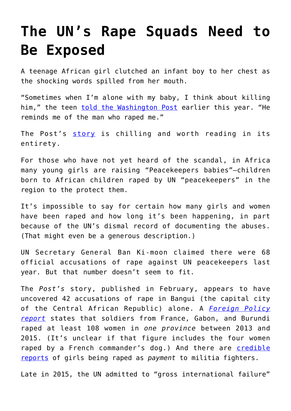## **[The UN's Rape Squads Need to](https://intellectualtakeout.org/2016/06/the-uns-rape-squads-need-to-be-exposed/) [Be Exposed](https://intellectualtakeout.org/2016/06/the-uns-rape-squads-need-to-be-exposed/)**

A teenage African girl clutched an infant boy to her chest as the shocking words spilled from her mouth.

"Sometimes when I'm alone with my baby, I think about killing him," the teen [told the Washington Post](http://www.washingtonpost.com/sf/world/2016/02/27/peacekeepers/) earlier this year. "He reminds me of the man who raped me."

The Post's [story](http://www.washingtonpost.com/sf/world/2016/02/27/peacekeepers/) is chilling and worth reading in its entirety.

For those who have not yet heard of the scandal, in Africa many young girls are raising "Peacekeepers babies"—children born to African children raped by UN "peacekeepers" in the region to the protect them.

It's impossible to say for certain how many girls and women have been raped and how long it's been happening, in part because of the UN's dismal record of documenting the abuses. (That might even be a generous description.)

UN Secretary General Ban Ki-moon claimed there were 68 official accusations of rape against UN peacekeepers last year. But that number doesn't seem to fit.

The *Post's* story, published in February, appears to have uncovered 42 accusations of rape in Bangui (the capital city of the Central African Republic) alone. A *[Foreign Policy](http://foreignpolicy.com/2016/04/08/u-n-sex-abuse-scandal-in-central-african-republic-hits-rock-bottom/) [report](http://foreignpolicy.com/2016/04/08/u-n-sex-abuse-scandal-in-central-african-republic-hits-rock-bottom/)* states that soldiers from France, Gabon, and Burundi raped at least 108 women in *one province* between 2013 and 2015. (It's unclear if that figure includes the four women raped by a French commander's dog.) And there are [credible](http://www.cbsnews.com/news/un-human-rights-south-sudan-militias-rape-women-girls-payment/) [reports](http://www.cbsnews.com/news/un-human-rights-south-sudan-militias-rape-women-girls-payment/) of girls being raped as *payment* to militia fighters.

Late in 2015, the UN admitted to "gross international failure"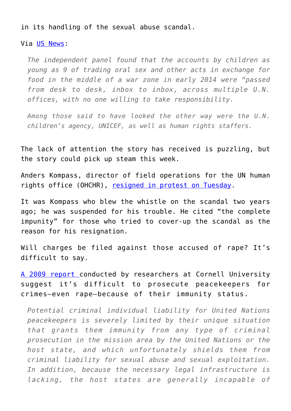## in its handling of the sexual abuse scandal.

## Via [US News:](http://www.usnews.com/news/world/articles/2015-12-17/gross-institutional-failure-by-un-on-child-sex-abuse-case)

*The independent panel found that the accounts by children as young as 9 of trading oral sex and other acts in exchange for food in the middle of a war zone in early 2014 were "passed from desk to desk, inbox to inbox, across multiple U.N. offices, with no one willing to take responsibility.* 

*Among those said to have looked the other way were the U.N. children's agency, UNICEF, as well as human rights staffers.*

The lack of attention the story has received is puzzling, but the story could pick up steam this week.

Anders Kompass, director of field operations for the UN human rights office (OHCHR), [resigned in protest on Tuesday](https://www.yahoo.com/news/un-whistleblower-quits-over-peacekeeper-rape-impunity-205750234.html).

It was Kompass who blew the whistle on the scandal two years ago; he was suspended for his trouble. He cited "the complete impunity" for those who tried to cover-up the scandal as the reason for his resignation.

Will charges be filed against those accused of rape? It's difficult to say.

[A 2009 report c](http://scholarship.law.cornell.edu/cgi/viewcontent.cgi?article=1058&context=facpub)onducted by researchers at Cornell University suggest it's difficult to prosecute peacekeepers for crimes–even rape—because of their immunity status.

*Potential criminal individual liability for United Nations peacekeepers is severely limited by their unique situation that grants them immunity from any type of criminal prosecution in the mission area by the United Nations or the host state, and which unfortunately shields them from criminal liability for sexual abuse and sexual exploitation. In addition, because the necessary legal infrastructure is lacking, the host states are generally incapable of*